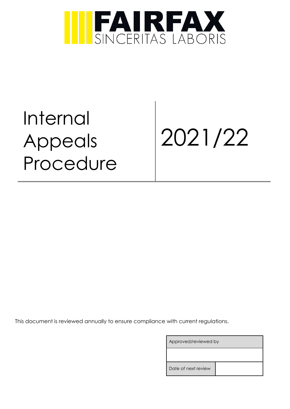

Internal Appeals Procedure

2021/22

This document is reviewed annually to ensure compliance with current regulations.

| Approved/reviewed by |  |  |
|----------------------|--|--|
|                      |  |  |
| Date of next review  |  |  |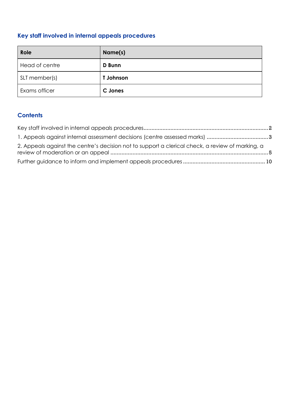# <span id="page-1-0"></span>**Key staff involved in internal appeals procedures**

| Role           | Name(s)          |
|----------------|------------------|
| Head of centre | <b>D</b> Bunn    |
| SLT member(s)  | <b>T</b> Johnson |
| Exams officer  | C Jones          |

# **Contents**

| 2. Appeals against the centre's decision not to support a clerical check, a review of marking, a |  |
|--------------------------------------------------------------------------------------------------|--|
|                                                                                                  |  |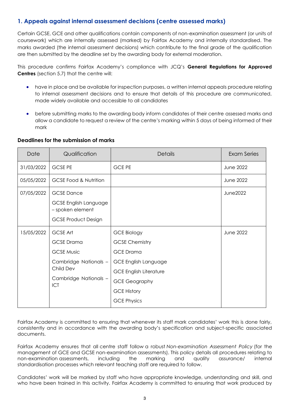## <span id="page-2-0"></span>**1. Appeals against internal assessment decisions (centre assessed marks)**

Certain GCSE, GCE and other qualifications contain components of non-examination assessment (or units of coursework) which are internally assessed (marked) by Fairfax Academy and internally standardised. The marks awarded (the internal assessment decisions) which contribute to the final grade of the qualification are then submitted by the deadline set by the awarding body for external moderation.

This procedure confirms Fairfax Academy's compliance with JCQ's **General Regulations for Approved Centres** (section 5.7) that the centre will:

- have in place and be available for inspection purposes, a written internal appeals procedure relating to internal assessment decisions and to ensure that details of this procedure are communicated, made widely available and accessible to all candidates
- before submitting marks to the awarding body inform candidates of their centre assessed marks and allow a candidate to request a review of the centre's marking within 5 days of being informed of their mark

| Date       | Qualification                                                                                                                   | <b>Details</b>                                                                                                                                                                                      | <b>Exam Series</b> |
|------------|---------------------------------------------------------------------------------------------------------------------------------|-----------------------------------------------------------------------------------------------------------------------------------------------------------------------------------------------------|--------------------|
| 31/03/2022 | <b>GCSE PE</b>                                                                                                                  | <b>GCE PE</b>                                                                                                                                                                                       | <b>June 2022</b>   |
| 05/05/2022 | <b>GCSE Food &amp; Nutrition</b>                                                                                                |                                                                                                                                                                                                     | <b>June 2022</b>   |
| 07/05/2022 | <b>GCSE Dance</b><br><b>GCSE English Language</b><br>- spoken element<br><b>GCSE Product Design</b>                             |                                                                                                                                                                                                     | <b>June2022</b>    |
| 15/05/2022 | <b>GCSE Art</b><br><b>GCSE</b> Drama<br><b>GCSE Music</b><br>Cambridge Nationals -<br>Child Dev<br>Cambridge Nationals -<br>ICT | <b>GCE Biology</b><br><b>GCSE Chemistry</b><br><b>GCE Drama</b><br><b>GCE English Language</b><br><b>GCE English Literature</b><br><b>GCE Geography</b><br><b>GCE History</b><br><b>GCE Physics</b> | <b>June 2022</b>   |

### **Deadlines for the submission of marks**

Fairfax Academy is committed to ensuring that whenever its staff mark candidates' work this is done fairly, consistently and in accordance with the awarding body's specification and subject-specific associated documents.

Fairfax Academy ensures that all centre staff follow a robust *Non-examination Assessment Policy* (for the management of GCE and GCSE non-examination assessments). This policy details all procedures relating to non-examination assessments, including the marking and quality assurance/ internal standardisation processes which relevant teaching staff are required to follow.

Candidates' work will be marked by staff who have appropriate knowledge, understanding and skill, and who have been trained in this activity. Fairfax Academy is committed to ensuring that work produced by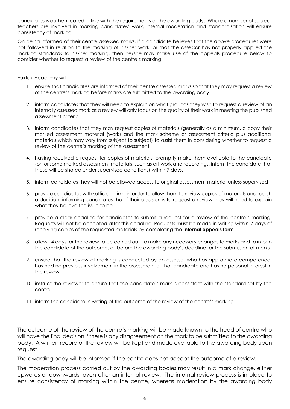candidates is authenticated in line with the requirements of the awarding body. Where a number of subject teachers are involved in marking candidates' work, internal moderation and standardisation will ensure consistency of marking.

On being informed of their centre assessed marks, if a candidate believes that the above procedures were not followed in relation to the marking of his/her work, or that the assessor has not properly applied the marking standards to his/her marking, then he/she may make use of the appeals procedure below to consider whether to request a review of the centre's marking.

### Fairfax Academy will

- 1. ensure that candidates are informed of their centre assessed marks so that they may request a review of the centre's marking before marks are submitted to the awarding body
- 2. inform candidates that they will need to explain on what grounds they wish to request a review of an internally assessed mark as a review will only focus on the quality of their work in meeting the published assessment criteria
- 3. inform candidates that they may request copies of materials (generally as a minimum, a copy their marked assessment material (work) and the mark scheme or assessment criteria plus additional materials which may vary from subject to subject) to assist them in considering whether to request a review of the centre's marking of the assessment
- 4. having received a request for copies of materials, promptly make them available to the candidate (or for some marked assessment materials, such as art work and recordings, inform the candidate that these will be shared under supervised conditions) within 7 days.
- 5. inform candidates they will not be allowed access to original assessment material unless supervised
- 6. provide candidates with sufficient time in order to allow them to review copies of materials and reach a decision, informing candidates that if their decision is to request a review they will need to explain what they believe the issue to be
- 7. provide a clear deadline for candidates to submit a request for a review of the centre's marking. Requests will not be accepted after this deadline. Requests must be made in writing within 7 days of receiving copies of the requested materials by completing the **internal appeals form**.
- 8. allow 14 days for the review to be carried out, to make any necessary changes to marks and to inform the candidate of the outcome, all before the awarding body's deadline for the submission of marks
- 9. ensure that the review of marking is conducted by an assessor who has appropriate competence, has had no previous involvement in the assessment of that candidate and has no personal interest in the review
- 10. instruct the reviewer to ensure that the candidate's mark is consistent with the standard set by the centre
- 11. inform the candidate in writing of the outcome of the review of the centre's marking

The outcome of the review of the centre's marking will be made known to the head of centre who will have the final decision if there is any disagreement on the mark to be submitted to the awarding body. A written record of the review will be kept and made available to the awarding body upon request.

The awarding body will be informed if the centre does not accept the outcome of a review.

The moderation process carried out by the awarding bodies may result in a mark change, either upwards or downwards, even after an internal review. The internal review process is in place to ensure consistency of marking within the centre, whereas moderation by the awarding body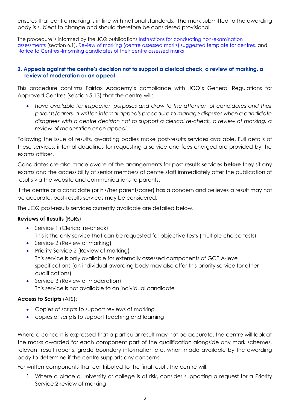ensures that centre marking is in line with national standards. The mark submitted to the awarding body is subject to change and should therefore be considered provisional.

<span id="page-4-0"></span>The procedure is informed by the JCQ publications [Instructions for conducting non-examination](https://www.jcq.org.uk/exams-office/non-examination-assessments)  [assessments](https://www.jcq.org.uk/exams-office/non-examination-assessments) (section 6.1), [Review of marking \(centre assessed marks\) suggested template for centres.](https://www.jcq.org.uk/exams-office/non-examination-assessments) and [Notice to Centres -Informing candidates of their centre assessed marks](https://www.jcq.org.uk/exams-office/non-examination-assessments)

### **2. Appeals against the centre's decision not to support a clerical check, a review of marking, a review of moderation or an appeal**

This procedure confirms Fairfax Academy's compliance with JCQ's General Regulations for Approved Centres (section 5.13) that the centre will:

• *have available for inspection purposes and draw to the attention of candidates and their parents/carers, a written internal appeals procedure to manage disputes when a candidate disagrees with a centre decision not to support a clerical re-check, a review of marking, a review of moderation or an appeal*

Following the issue of results, awarding bodies make post-results services available. Full details of these services, internal deadlines for requesting a service and fees charged are provided by the exams officer.

Candidates are also made aware of the arrangements for post-results services **before** they sit any exams and the accessibility of senior members of centre staff immediately after the publication of results via the website and communications to parents.

If the centre or a candidate (or his/her parent/carer) has a concern and believes a result may not be accurate, post-results services may be considered.

The JCQ post-results services currently available are detailed below.

### **Reviews of Results** (RoRs):

- Service 1 (Clerical re-check) This is the only service that can be requested for objective tests (multiple choice tests)
- Service 2 (Review of marking)
- Priority Service 2 (Review of marking) This service is only available for externally assessed components of GCE A-level specifications (an individual awarding body may also offer this priority service for other qualifications)
- Service 3 (Review of moderation) This service is not available to an individual candidate

### **Access to Scripts** (ATS):

- Copies of scripts to support reviews of marking
- copies of scripts to support teaching and learning

Where a concern is expressed that a particular result may not be accurate, the centre will look at the marks awarded for each component part of the qualification alongside any mark schemes, relevant result reports, grade boundary information etc. when made available by the awarding body to determine if the centre supports any concerns.

For written components that contributed to the final result, the centre will:

1. Where a place a university or college is at risk, consider supporting a request for a Priority Service 2 review of marking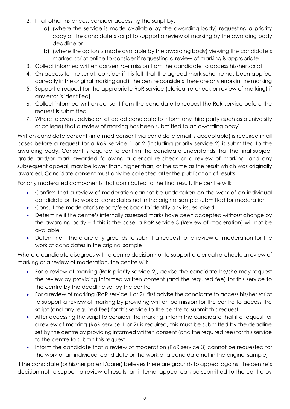- 2. In all other instances, consider accessing the script by:
	- a) (where the service is made available by the awarding body) requesting a priority copy of the candidate's script to support a review of marking by the awarding body deadline or
	- b) (where the option is made available by the awarding body) viewing the candidate's marked script online to consider if requesting a review of marking is appropriate
- 3. Collect informed written consent/permission from the candidate to access his/her script
- 4. On access to the script, consider if it is felt that the agreed mark scheme has been applied correctly in the original marking and if the centre considers there are any errors in the marking
- 5. Support a request for the appropriate RoR service (clerical re-check or review of marking) if any error is identified]
- 6. Collect informed written consent from the candidate to request the RoR service before the request is submitted
- 7. Where relevant, advise an affected candidate to inform any third party (such as a university or college) that a review of marking has been submitted to an awarding body]

Written candidate consent (informed consent via candidate email is acceptable) is required in all cases before a request for a RoR service 1 or 2 (including priority service 2) is submitted to the awarding body. Consent is required to confirm the candidate understands that the final subject grade and/or mark awarded following a clerical re-check or a review of marking, and any subsequent appeal, may be lower than, higher than, or the same as the result which was originally awarded. Candidate consent must only be collected after the publication of results.

For any moderated components that contributed to the final result, the centre will:

- Confirm that a review of moderation cannot be undertaken on the work of an individual candidate or the work of candidates not in the original sample submitted for moderation
- Consult the moderator's report/feedback to identify any issues raised
- Determine if the centre's internally assessed marks have been accepted without change by the awarding body – if this is the case, a RoR service 3 (Review of moderation) will not be available
- Determine if there are any grounds to submit a request for a review of moderation for the work of candidates in the original sample]

Where a candidate disagrees with a centre decision not to support a clerical re-check, a review of marking or a review of moderation, the centre will:

- For a review of marking (RoR priority service 2), advise the candidate he/she may request the review by providing informed written consent (and the required fee) for this service to the centre by the deadline set by the centre
- For a review of marking (RoR service 1 or 2), first advise the candidate to access his/her script to support a review of marking by providing written permission for the centre to access the script (and any required fee) for this service to the centre to submit this request
- After accessing the script to consider the marking, inform the candidate that if a request for a review of marking (RoR service 1 or 2) is required, this must be submitted by the deadline set by the centre by providing informed written consent (and the required fee) for this service to the centre to submit this request
- Inform the candidate that a review of moderation (RoR service 3) cannot be requested for the work of an individual candidate or the work of a candidate not in the original sample]

If the candidate (or his/her parent/carer) believes there are grounds to appeal against the centre's decision not to support a review of results, an internal appeal can be submitted to the centre by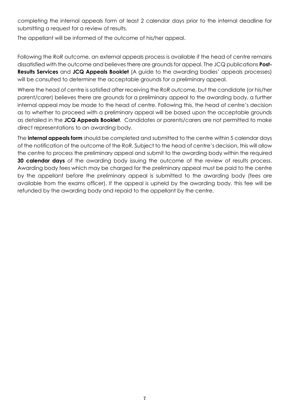completing the internal appeals form at least 2 calendar days prior to the internal deadline for submitting a request for a review of results.

The appellant will be informed of the outcome of his/her appeal.

Following the RoR outcome, an external appeals process is available if the head of centre remains dissatisfied with the outcome and believes there are grounds for appeal. The JCQ publications **Post-Results Services** and **JCQ Appeals Booklet** (A guide to the awarding bodies' appeals processes) will be consulted to determine the acceptable grounds for a preliminary appeal.

Where the head of centre is satisfied after receiving the RoR outcome, but the candidate (or his/her parent/carer) believes there are grounds for a preliminary appeal to the awarding body, a further internal appeal may be made to the head of centre. Following this, the head of centre's decision as to whether to proceed with a preliminary appeal will be based upon the acceptable grounds as detailed in the **JCQ Appeals Booklet**. Candidates or parents/carers are not permitted to make direct representations to an awarding body.

The **internal appeals form** should be completed and submitted to the centre within 5 calendar days of the notification of the outcome of the RoR. Subject to the head of centre's decision, this will allow the centre to process the preliminary appeal and submit to the awarding body within the required **30 calendar days** of the awarding body issuing the outcome of the review of results process. Awarding body fees which may be charged for the preliminary appeal must be paid to the centre by the appellant before the preliminary appeal is submitted to the awarding body (fees are available from the exams officer). If the appeal is upheld by the awarding body, this fee will be refunded by the awarding body and repaid to the appellant by the centre.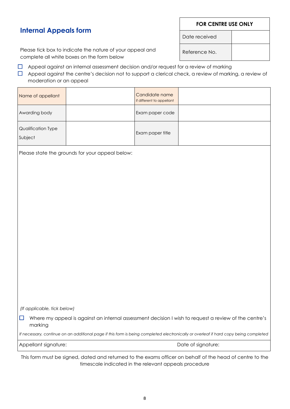*(If applicable, tick below)*  $\Box$  Where my appeal is against an internal assessment decision I wish to request a review of the centre's

marking

*If necessary, continue on an additional page if this form is being completed electronically or overleaf if hard copy being completed*

Appellant signature: Date of signature:

This form must be signed, dated and returned to the exams officer on behalf of the head of centre to the timescale indicated in the relevant appeals procedure

# **Internal Appeals form**

| 0.1.10.10 air 111.111.10 201.000 011 111.10 10.111.1 2010 11                                                                                                                                                               |                                                 |                                             |  |  |
|----------------------------------------------------------------------------------------------------------------------------------------------------------------------------------------------------------------------------|-------------------------------------------------|---------------------------------------------|--|--|
| Appeal against an internal assessment decision and/or request for a review of marking<br>Appeal against the centre's decision not to support a clerical check, a review of marking, a review of<br>moderation or an appeal |                                                 |                                             |  |  |
| Name of appellant                                                                                                                                                                                                          |                                                 | Candidate name<br>if different to appellant |  |  |
| Awarding body                                                                                                                                                                                                              |                                                 | Exam paper code                             |  |  |
| Qualification Type<br>Subject                                                                                                                                                                                              |                                                 | Exam paper title                            |  |  |
|                                                                                                                                                                                                                            | Please state the grounds for your appeal below: |                                             |  |  |

### Please tick box to indicate the nature of your appeal and complete all white boxes on the form below

**FOR CENTRE USE ONLY**

Date received

Reference No.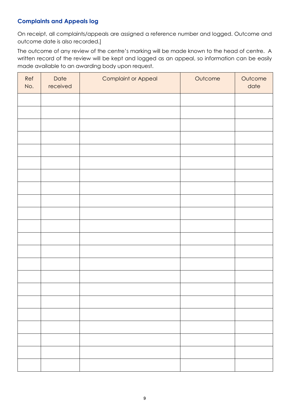## **Complaints and Appeals log**

On receipt, all complaints/appeals are assigned a reference number and logged. Outcome and outcome date is also recorded.]

The outcome of any review of the centre's marking will be made known to the head of centre. A written record of the review will be kept and logged as an appeal, so information can be easily made available to an awarding body upon request.

| Ref<br>No. | Date<br>received | <b>Complaint or Appeal</b> | Outcome | Outcome<br>date |
|------------|------------------|----------------------------|---------|-----------------|
|            |                  |                            |         |                 |
|            |                  |                            |         |                 |
|            |                  |                            |         |                 |
|            |                  |                            |         |                 |
|            |                  |                            |         |                 |
|            |                  |                            |         |                 |
|            |                  |                            |         |                 |
|            |                  |                            |         |                 |
|            |                  |                            |         |                 |
|            |                  |                            |         |                 |
|            |                  |                            |         |                 |
|            |                  |                            |         |                 |
|            |                  |                            |         |                 |
|            |                  |                            |         |                 |
|            |                  |                            |         |                 |
|            |                  |                            |         |                 |
|            |                  |                            |         |                 |
|            |                  |                            |         |                 |
|            |                  |                            |         |                 |
|            |                  |                            |         |                 |
|            |                  |                            |         |                 |
|            |                  |                            |         |                 |